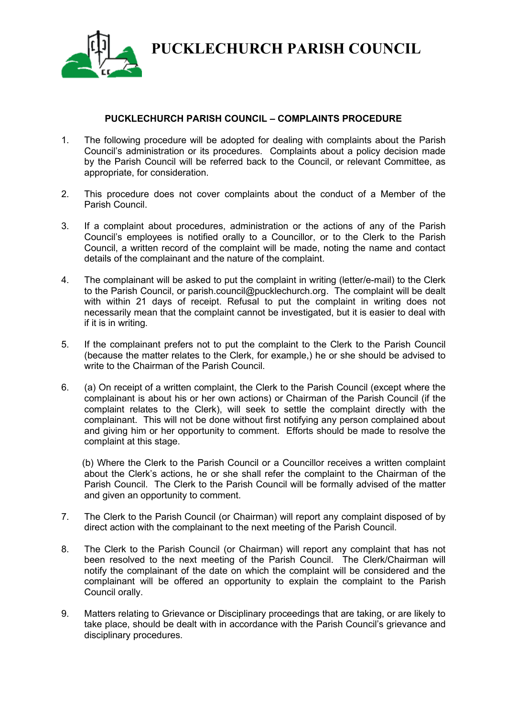

**PUCKLECHURCH PARISH COUNCIL**

## **PUCKLECHURCH PARISH COUNCIL – COMPLAINTS PROCEDURE**

- 1. The following procedure will be adopted for dealing with complaints about the Parish Council's administration or its procedures. Complaints about a policy decision made by the Parish Council will be referred back to the Council, or relevant Committee, as appropriate, for consideration.
- 2. This procedure does not cover complaints about the conduct of a Member of the Parish Council.
- 3. If a complaint about procedures, administration or the actions of any of the Parish Council's employees is notified orally to a Councillor, or to the Clerk to the Parish Council, a written record of the complaint will be made, noting the name and contact details of the complainant and the nature of the complaint.
- 4. The complainant will be asked to put the complaint in writing (letter/e-mail) to the Clerk to the Parish Council, or parish.council@pucklechurch.org. The complaint will be dealt with within 21 days of receipt. Refusal to put the complaint in writing does not necessarily mean that the complaint cannot be investigated, but it is easier to deal with if it is in writing.
- 5. If the complainant prefers not to put the complaint to the Clerk to the Parish Council (because the matter relates to the Clerk, for example,) he or she should be advised to write to the Chairman of the Parish Council.
- 6. (a) On receipt of a written complaint, the Clerk to the Parish Council (except where the complainant is about his or her own actions) or Chairman of the Parish Council (if the complaint relates to the Clerk), will seek to settle the complaint directly with the complainant. This will not be done without first notifying any person complained about and giving him or her opportunity to comment. Efforts should be made to resolve the complaint at this stage.

 (b) Where the Clerk to the Parish Council or a Councillor receives a written complaint about the Clerk's actions, he or she shall refer the complaint to the Chairman of the Parish Council. The Clerk to the Parish Council will be formally advised of the matter and given an opportunity to comment.

- 7. The Clerk to the Parish Council (or Chairman) will report any complaint disposed of by direct action with the complainant to the next meeting of the Parish Council.
- 8. The Clerk to the Parish Council (or Chairman) will report any complaint that has not been resolved to the next meeting of the Parish Council. The Clerk/Chairman will notify the complainant of the date on which the complaint will be considered and the complainant will be offered an opportunity to explain the complaint to the Parish Council orally.
- 9. Matters relating to Grievance or Disciplinary proceedings that are taking, or are likely to take place, should be dealt with in accordance with the Parish Council's grievance and disciplinary procedures.